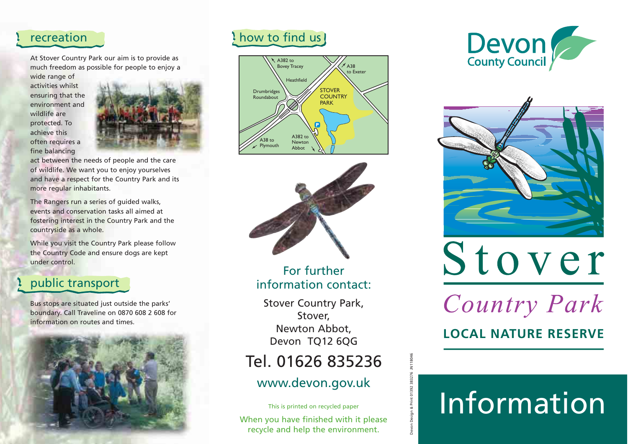### recreation

At Stover Country Park our aim is to provide as much freedom as possible for people to enjoy a wide range of

activities whilstensuring that the environment andwildlife areprotected. To achieve thisoften requires a fine balancing



act between the needs of people and the care of wildlife. We want you to enjoy yourselves and have a respect for the Country Park and its more regular inhabitants.

The Rangers run a series of guided walks, events and conservation tasks all aimed at fostering interest in the Country Park and the countryside as a whole.

While you visit the Country Park please follow the Country Code and ensure dogs are kept under control.

### public transport

Bus stops are situated just outside the parks' boundary. Call Traveline on 0870 608 2 608 for information on routes and times.



### how to find us





For furtherinformation contact:

Stover Country Park, Stover, Newton Abbot, Devon TQ12 6QG

### www.devon.gov.uk

Tel. 01626 835236<br>
WWW.devon.gov.uk<br>
This is printed on recycled paper<br>
When you have finished with it please<br>
recycle and help the environment.





# Stover

Country Park

**LOCAL NATURE RESERVE**

## Information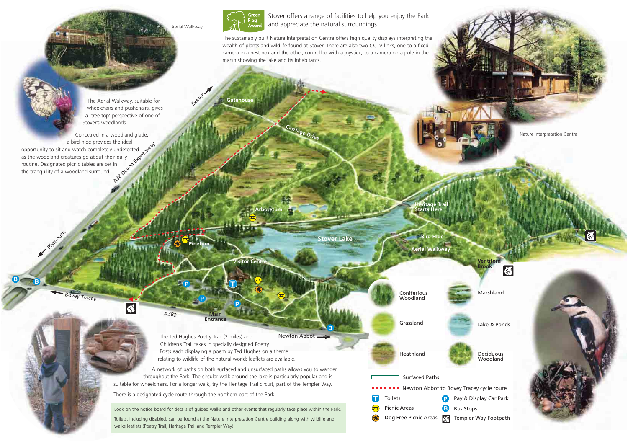

**Gatehouse**

Stover offers a range of facilities to help you enjoy the Park and appreciate the natural surroundings.

The sustainably built Nature Interpretation Centre offers high quality displays interpreting the wealth of plants and wildlife found at Stover. There are also two CCTV links, one to a fixed camera in a nest box and the other, controlled with a joystick, to a camera on a pole in the marsh showing the lake and its inhabitants.

**Ge** Dri

The Aerial Walkway, suitable for wheelchairs and pushchairs, gives <sup>a</sup>'tree top' perspective of one of Stover's woodlands.

a bird-hide provides the ideal<br>Individual watch completely undetected<br>atures go about their daily<br>picnic tables are set in<br>woodland surround.<br> $\frac{1}{200}$ Concealed in a woodland glade, opportunity to sit and watch completely undetected as the woodland creatures go about their daily routine. Designated picnic tables are set in the tranquility of a woodland surround.

Bovey Tracey

Phymouth

**B<sup>B</sup>**

Nature Interpretation Centre

**Stover Lake**

**B**

**Heritage Trail Arboretum Starts Here**

ConiferiousWoodland

Marshland

Lake & Ponds

DeciduousWoodland

**Ventiford Brook**

|∰



Grassland

**Bird Hide**

**Aerial Walkway**

Surfaced Paths------ Newton Abbot to Bovey Tracey cycle route Ω Toilets **P** Pay & Display Car Park  $\bigcirc$ Picnic Areas **Bus Stops** Dog Free Picnic Areas **All Templer Way Footpath** 

Newton AbbotThe Ted Hughes Poetry Trail (2 miles) and Children's Trail takes in specially designed Poetry Posts each displaying a poem by Ted Hughes on a theme relating to wildlife of the natural world; leaflets are available.

**P**

**Visitor Centre** 

**MainEntrance**

**Pinetum**

**P**

**P**

Exeter 7

Aerial Walkway

A network of paths on both surfaced and unsurfaced paths allows you to wander throughout the Park. The circular walk around the lake is particularly popular and is suitable for wheelchairs. For a longer walk, try the Heritage Trail circuit, part of the Templer Way.

There is a designated cycle route through the northern part of the Park.

A382

 $\overline{\mathbf{a}}$ 

Look on the notice board for details of guided walks and other events that regularly take place within the Park.

Toilets, including disabled, can be found at the Nature Interpretation Centre building along with wildlife and walks leaflets (Poetry Trail, Heritage Trail and Templer Way).